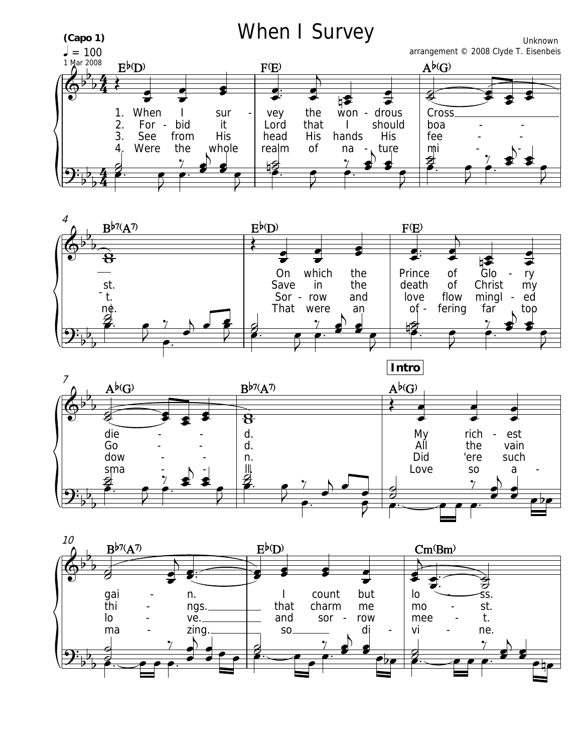